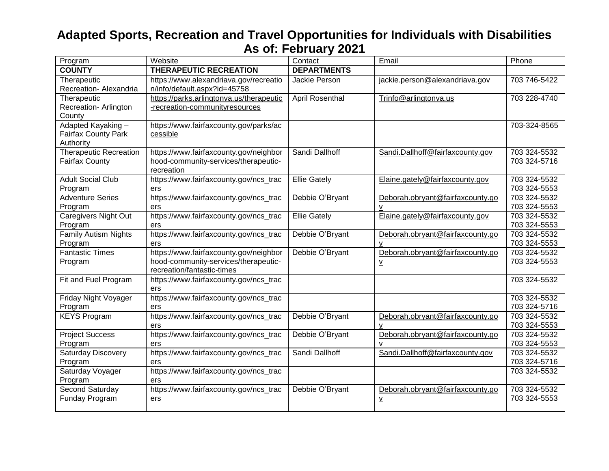| Program                       | Website                                  | Contact             | Email                            | Phone        |
|-------------------------------|------------------------------------------|---------------------|----------------------------------|--------------|
| <b>COUNTY</b>                 | <b>THERAPEUTIC RECREATION</b>            | <b>DEPARTMENTS</b>  |                                  |              |
| Therapeutic                   | https://www.alexandriava.gov/recreatio   | Jackie Person       | jackie.person@alexandriava.gov   | 703 746-5422 |
| Recreation- Alexandria        | n/info/default.aspx?id=45758             |                     |                                  |              |
| Therapeutic                   | https://parks.arlingtonva.us/therapeutic | April Rosenthal     | Trinfo@arlingtonva.us            | 703 228-4740 |
| Recreation-Arlington          | -recreation-communityresources           |                     |                                  |              |
| County                        |                                          |                     |                                  |              |
| Adapted Kayaking -            | https://www.fairfaxcounty.gov/parks/ac   |                     |                                  | 703-324-8565 |
| <b>Fairfax County Park</b>    | cessible                                 |                     |                                  |              |
| Authority                     |                                          |                     |                                  |              |
| <b>Therapeutic Recreation</b> | https://www.fairfaxcounty.gov/neighbor   | Sandi Dallhoff      | Sandi.Dallhoff@fairfaxcounty.gov | 703 324-5532 |
| <b>Fairfax County</b>         | hood-community-services/therapeutic-     |                     |                                  | 703 324-5716 |
|                               | recreation                               |                     |                                  |              |
| <b>Adult Social Club</b>      | https://www.fairfaxcounty.gov/ncs_trac   | <b>Ellie Gately</b> | Elaine.gately@fairfaxcounty.gov  | 703 324-5532 |
| Program                       | ers                                      |                     |                                  | 703 324-5553 |
| <b>Adventure Series</b>       | https://www.fairfaxcounty.gov/ncs_trac   | Debbie O'Bryant     | Deborah.obryant@fairfaxcounty.go | 703 324-5532 |
| Program                       | ers                                      |                     | $\mathsf{V}$                     | 703 324-5553 |
| <b>Caregivers Night Out</b>   | https://www.fairfaxcounty.gov/ncs_trac   | <b>Ellie Gately</b> | Elaine.gately@fairfaxcounty.gov  | 703 324-5532 |
| Program                       | ers                                      |                     |                                  | 703 324-5553 |
| Family Autism Nights          | https://www.fairfaxcounty.gov/ncs_trac   | Debbie O'Bryant     | Deborah.obryant@fairfaxcounty.go | 703 324-5532 |
| Program                       | ers                                      |                     | v                                | 703 324-5553 |
| <b>Fantastic Times</b>        | https://www.fairfaxcounty.gov/neighbor   | Debbie O'Bryant     | Deborah.obryant@fairfaxcounty.go | 703 324-5532 |
| Program                       | hood-community-services/therapeutic-     |                     | $\underline{\mathsf{v}}$         | 703 324-5553 |
|                               | recreation/fantastic-times               |                     |                                  |              |
| Fit and Fuel Program          | https://www.fairfaxcounty.gov/ncs_trac   |                     |                                  | 703 324-5532 |
|                               | ers                                      |                     |                                  |              |
| Friday Night Voyager          | https://www.fairfaxcounty.gov/ncs_trac   |                     |                                  | 703 324-5532 |
| Program                       | ers                                      |                     |                                  | 703 324-5716 |
| <b>KEYS Program</b>           | https://www.fairfaxcounty.gov/ncs_trac   | Debbie O'Bryant     | Deborah.obryant@fairfaxcounty.go | 703 324-5532 |
|                               | ers                                      |                     | $\mathsf{v}$                     | 703 324-5553 |
| <b>Project Success</b>        | https://www.fairfaxcounty.gov/ncs_trac   | Debbie O'Bryant     | Deborah.obryant@fairfaxcounty.go | 703 324-5532 |
| Program                       | ers                                      |                     | $\mathsf{v}$                     | 703 324-5553 |
| <b>Saturday Discovery</b>     | https://www.fairfaxcounty.gov/ncs_trac   | Sandi Dallhoff      | Sandi.Dallhoff@fairfaxcounty.gov | 703 324-5532 |
| Program                       | ers                                      |                     |                                  | 703 324-5716 |
| Saturday Voyager              | https://www.fairfaxcounty.gov/ncs_trac   |                     |                                  | 703 324-5532 |
| Program                       | ers                                      |                     |                                  |              |
| Second Saturday               | https://www.fairfaxcounty.gov/ncs_trac   | Debbie O'Bryant     | Deborah.obryant@fairfaxcounty.go | 703 324-5532 |
| Funday Program                | ers                                      |                     | $\underline{\mathsf{v}}$         | 703 324-5553 |
|                               |                                          |                     |                                  |              |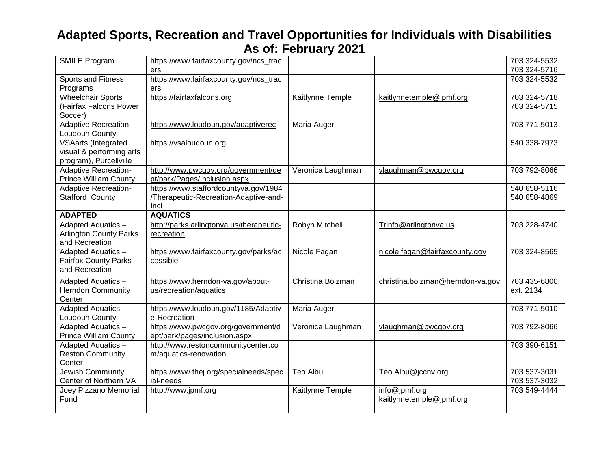| <b>SMILE Program</b>                               | https://www.fairfaxcounty.gov/ncs_trac               |                   |                                  | 703 324-5532                 |
|----------------------------------------------------|------------------------------------------------------|-------------------|----------------------------------|------------------------------|
|                                                    | ers                                                  |                   |                                  | 703 324-5716                 |
| <b>Sports and Fitness</b>                          | https://www.fairfaxcounty.gov/ncs_trac               |                   |                                  | 703 324-5532                 |
| Programs                                           | ers                                                  |                   |                                  |                              |
| <b>Wheelchair Sports</b><br>(Fairfax Falcons Power | https://fairfaxfalcons.org                           | Kaitlynne Temple  | kaitlynnetemple@jpmf.org         | 703 324-5718<br>703 324-5715 |
| Soccer)                                            |                                                      |                   |                                  |                              |
| <b>Adaptive Recreation-</b>                        | https://www.loudoun.gov/adaptiverec                  | Maria Auger       |                                  | 703 771-5013                 |
| Loudoun County                                     |                                                      |                   |                                  |                              |
| <b>VSAarts (Integrated</b>                         | https://vsaloudoun.org                               |                   |                                  | 540 338-7973                 |
| visual & performing arts                           |                                                      |                   |                                  |                              |
| program), Purcellville                             |                                                      |                   |                                  |                              |
| <b>Adaptive Recreation-</b>                        | http://www.pwcgov.org/government/de                  | Veronica Laughman | vlaughman@pwcgov.org             | 703 792-8066                 |
| <b>Prince William County</b>                       | pt/park/Pages/Inclusion.aspx                         |                   |                                  |                              |
| <b>Adaptive Recreation-</b>                        | https://www.staffordcountyva.gov/1984                |                   |                                  | 540 658-5116                 |
| Stafford County                                    | /Therapeutic-Recreation-Adaptive-and-<br>Incl        |                   |                                  | 540 658-4869                 |
| <b>ADAPTED</b>                                     | <b>AQUATICS</b>                                      |                   |                                  |                              |
| Adapted Aquatics -                                 | http://parks.arlingtonva.us/therapeutic-             | Robyn Mitchell    | Trinfo@arlingtonva.us            | 703 228-4740                 |
| <b>Arlington County Parks</b>                      | recreation                                           |                   |                                  |                              |
| and Recreation                                     |                                                      |                   |                                  |                              |
| Adapted Aquatics -                                 | https://www.fairfaxcounty.gov/parks/ac               | Nicole Fagan      | nicole.fagan@fairfaxcounty.gov   | 703 324-8565                 |
| <b>Fairfax County Parks</b>                        | cessible                                             |                   |                                  |                              |
| and Recreation                                     |                                                      |                   |                                  |                              |
| Adapted Aquatics -                                 | https://www.herndon-va.gov/about-                    | Christina Bolzman | christina.bolzman@herndon-va.gov | 703 435-6800,                |
| <b>Herndon Community</b>                           | us/recreation/aquatics                               |                   |                                  | ext. 2134                    |
| Center                                             |                                                      |                   |                                  |                              |
| Adapted Aquatics -                                 | https://www.loudoun.gov/1185/Adaptiv<br>e-Recreation | Maria Auger       |                                  | 703 771-5010                 |
| Loudoun County<br><b>Adapted Aquatics -</b>        | https://www.pwcgov.org/government/d                  | Veronica Laughman | vlaughman@pwcgov.org             | 703 792-8066                 |
| <b>Prince William County</b>                       | ept/park/pages/inclusion.aspx                        |                   |                                  |                              |
| Adapted Aquatics -                                 | http://www.restoncommunitycenter.co                  |                   |                                  | 703 390-6151                 |
| <b>Reston Community</b>                            | m/aquatics-renovation                                |                   |                                  |                              |
| Center                                             |                                                      |                   |                                  |                              |
| <b>Jewish Community</b>                            | https://www.thej.org/specialneeds/spec               | <b>Teo Albu</b>   | Teo.Albu@jccnv.org               | 703 537-3031                 |
| Center of Northern VA                              | ial-needs                                            |                   |                                  | 703 537-3032                 |
| Joey Pizzano Memorial                              | http://www.jpmf.org                                  | Kaitlynne Temple  | info@jpmf.org                    | 703 549-4444                 |
| Fund                                               |                                                      |                   | kaitlynnetemple@jpmf.org         |                              |
|                                                    |                                                      |                   |                                  |                              |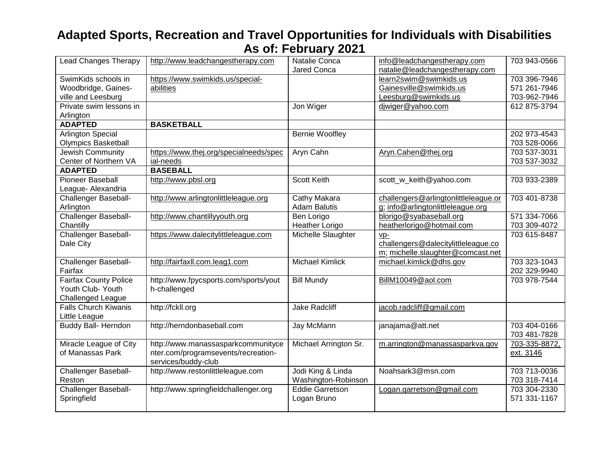| <b>Lead Changes Therapy</b>  | http://www.leadchangestherapy.com      | Natalie Conca          | info@leadchangestherapy.com          | 703 943-0566  |
|------------------------------|----------------------------------------|------------------------|--------------------------------------|---------------|
|                              |                                        | Jared Conca            | natalie@leadchangestherapy.com       |               |
| SwimKids schools in          | https://www.swimkids.us/special-       |                        | learn2swim@swimkids.us               | 703 396-7946  |
| Woodbridge, Gaines-          | abilities                              |                        | Gainesville@swimkids.us              | 571 261-7946  |
| ville and Leesburg           |                                        |                        | Leesburg@swimkids.us                 | 703-962-7946  |
| Private swim lessons in      |                                        | Jon Wiger              | djwiger@yahoo.com                    | 612 875-3794  |
| Arlington                    |                                        |                        |                                      |               |
| <b>ADAPTED</b>               | <b>BASKETBALL</b>                      |                        |                                      |               |
| <b>Arlington Special</b>     |                                        | <b>Bernie Woolfley</b> |                                      | 202 973-4543  |
| <b>Olympics Basketball</b>   |                                        |                        |                                      | 703 528-0066  |
| <b>Jewish Community</b>      | https://www.thej.org/specialneeds/spec | Aryn Cahn              | Aryn.Cahen@thej.org                  | 703 537-3031  |
| Center of Northern VA        | ial-needs                              |                        |                                      | 703 537-3032  |
| <b>ADAPTED</b>               | <b>BASEBALL</b>                        |                        |                                      |               |
| <b>Pioneer Baseball</b>      | http://www.pbsl.org                    | <b>Scott Keith</b>     | scott_w_keith@yahoo.com              | 703 933-2389  |
| League- Alexandria           |                                        |                        |                                      |               |
| <b>Challenger Baseball-</b>  | http://www.arlingtonlittleleague.org   | Cathy Makara           | challengers@arlingtonlittleleague.or | 703 401-8738  |
| Arlington                    |                                        | <b>Adam Balutis</b>    | g; info@arlingtonlittleleague.org    |               |
| <b>Challenger Baseball-</b>  | http://www.chantillyyouth.org          | Ben Lorigo             | blorigo@syabaseball.org              | 571 334-7066  |
| Chantilly                    |                                        | <b>Heather Lorigo</b>  | heatherlorigo@hotmail.com            | 703 309-4072  |
| Challenger Baseball-         | https://www.dalecitylittleleague.com   | Michelle Slaughter     | $VD-$                                | 703 615-8487  |
| Dale City                    |                                        |                        | challengers@dalecitylittleleague.co  |               |
|                              |                                        |                        | m; michelle.slaughter@comcast.net    |               |
| <b>Challenger Baseball-</b>  | http://fairfaxll.com.leag1.com         | <b>Michael Kimlick</b> | michael.kimlick@dhs.gov              | 703 323-1043  |
| Fairfax                      |                                        |                        |                                      | 202 329-9940  |
| <b>Fairfax County Police</b> | http://www.fpycsports.com/sports/yout  | <b>Bill Mundy</b>      | BillM10049@aol.com                   | 703 978-7544  |
| Youth Club-Youth             | h-challenged                           |                        |                                      |               |
| <b>Challenged League</b>     |                                        |                        |                                      |               |
| <b>Falls Church Kiwanis</b>  | http://fckll.org                       | <b>Jake Radcliff</b>   | jacob.radcliff@gmail.com             |               |
| Little League                |                                        |                        |                                      |               |
| <b>Buddy Ball- Herndon</b>   | http://herndonbaseball.com             | Jay McMann             | janajama@att.net                     | 703 404-0166  |
|                              |                                        |                        |                                      | 703 481-7828  |
| Miracle League of City       | http://www.manassasparkcommunityce     | Michael Arrington Sr.  | m.arrington@manassasparkva.gov       | 703-335-8872, |
| of Manassas Park             | nter.com/programsevents/recreation-    |                        |                                      | ext. 3146     |
|                              | services/buddy-club                    |                        |                                      |               |
| <b>Challenger Baseball-</b>  | http://www.restonlittleleague.com      | Jodi King & Linda      | Noahsark3@msn.com                    | 703 713-0036  |
| Reston                       |                                        | Washington-Robinson    |                                      | 703 318-7414  |
| <b>Challenger Baseball-</b>  | http://www.springfieldchallenger.org   | <b>Eddie Garretson</b> | Logan.garretson@gmail.com            | 703 304-2330  |
| Springfield                  |                                        | Logan Bruno            |                                      | 571 331-1167  |
|                              |                                        |                        |                                      |               |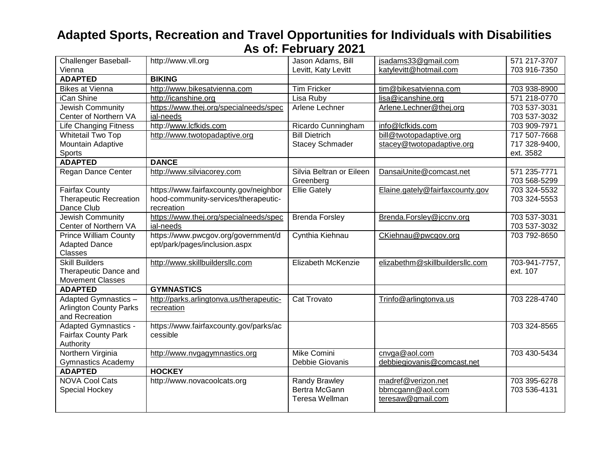| Challenger Baseball-                    | http://www.vll.org                                 | Jason Adams, Bill        | jsadams33@gmail.com             | 571 217-3707  |
|-----------------------------------------|----------------------------------------------------|--------------------------|---------------------------------|---------------|
| Vienna                                  |                                                    | Levitt, Katy Levitt      | katylevitt@hotmail.com          | 703 916-7350  |
| <b>ADAPTED</b>                          | <b>BIKING</b>                                      |                          |                                 |               |
| <b>Bikes at Vienna</b>                  | http://www.bikesatvienna.com                       | <b>Tim Fricker</b>       | tim@bikesatvienna.com           | 703 938-8900  |
| iCan Shine                              | http://icanshine.org                               | Lisa Ruby                | lisa@icanshine.org              | 571 218-0770  |
| <b>Jewish Community</b>                 | https://www.thej.org/specialneeds/spec             | Arlene Lechner           | Arlene.Lechner@thej.org         | 703 537-3031  |
| Center of Northern VA                   | ial-needs                                          |                          |                                 | 703 537-3032  |
| <b>Life Changing Fitness</b>            | http://www.lcfkids.com                             | Ricardo Cunningham       | info@lcfkids.com                | 703 909-7971  |
| <b>Whitetail Two Top</b>                | http://www.twotopadaptive.org                      | <b>Bill Dietrich</b>     | bill@twotopadaptive.org         | 717 507-7668  |
| Mountain Adaptive                       |                                                    | <b>Stacey Schmader</b>   | stacey@twotopadaptive.org       | 717 328-9400, |
| Sports                                  |                                                    |                          |                                 | ext. 3582     |
| <b>ADAPTED</b>                          | <b>DANCE</b>                                       |                          |                                 |               |
| Regan Dance Center                      | http://www.silviacorey.com                         | Silvia Beltran or Eileen | DansaiUnite@comcast.net         | 571 235-7771  |
|                                         |                                                    | Greenberg                |                                 | 703 568-5299  |
| <b>Fairfax County</b>                   | https://www.fairfaxcounty.gov/neighbor             | <b>Ellie Gately</b>      | Elaine.gately@fairfaxcounty.gov | 703 324-5532  |
| <b>Therapeutic Recreation</b>           | hood-community-services/therapeutic-               |                          |                                 | 703 324-5553  |
| Dance Club                              | recreation                                         |                          |                                 |               |
| Jewish Community                        | https://www.thej.org/specialneeds/spec             | <b>Brenda Forsley</b>    | Brenda.Forsley@jccnv.org        | 703 537-3031  |
| Center of Northern VA                   | ial-needs                                          |                          |                                 | 703 537-3032  |
| <b>Prince William County</b>            | https://www.pwcgov.org/government/d                | Cynthia Kiehnau          | CKiehnau@pwcgov.org             | 703 792-8650  |
| <b>Adapted Dance</b>                    | ept/park/pages/inclusion.aspx                      |                          |                                 |               |
| Classes                                 |                                                    |                          |                                 |               |
| <b>Skill Builders</b>                   | http://www.skillbuildersllc.com                    | Elizabeth McKenzie       | elizabethm@skillbuildersllc.com | 703-941-7757, |
| Therapeutic Dance and                   |                                                    |                          |                                 | ext. 107      |
| <b>Movement Classes</b>                 |                                                    |                          |                                 |               |
| <b>ADAPTED</b>                          | <b>GYMNASTICS</b>                                  |                          |                                 |               |
| Adapted Gymnastics -                    | http://parks.arlingtonva.us/therapeutic-           | Cat Trovato              | Trinfo@arlingtonva.us           | 703 228-4740  |
| <b>Arlington County Parks</b>           | recreation                                         |                          |                                 |               |
| and Recreation                          |                                                    |                          |                                 |               |
| Adapted Gymnastics -                    | https://www.fairfaxcounty.gov/parks/ac<br>cessible |                          |                                 | 703 324-8565  |
| <b>Fairfax County Park</b><br>Authority |                                                    |                          |                                 |               |
| Northern Virginia                       | http://www.nvgagymnastics.org                      | <b>Mike Comini</b>       | cnvga@aol.com                   | 703 430-5434  |
| <b>Gymnastics Academy</b>               |                                                    | Debbie Giovanis          | debbiegiovanis@comcast.net      |               |
| <b>ADAPTED</b>                          | <b>HOCKEY</b>                                      |                          |                                 |               |
| <b>NOVA Cool Cats</b>                   | http://www.novacoolcats.org                        | Randy Brawley            | madref@verizon.net              | 703 395-6278  |
| Special Hockey                          |                                                    | Bertra McGann            | bbmcgann@aol.com                | 703 536-4131  |
|                                         |                                                    | Teresa Wellman           | teresaw@gmail.com               |               |
|                                         |                                                    |                          |                                 |               |
|                                         |                                                    |                          |                                 |               |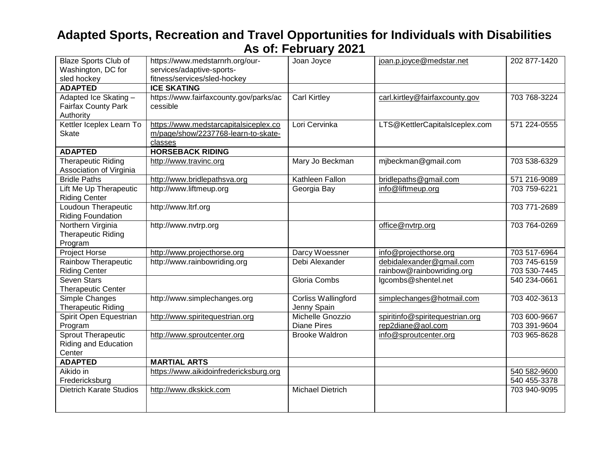| <b>Blaze Sports Club of</b>    | https://www.medstarnrh.org/our-        | Joan Joyce            | joan.p.joyce@medstar.net        | 202 877-1420 |
|--------------------------------|----------------------------------------|-----------------------|---------------------------------|--------------|
| Washington, DC for             | services/adaptive-sports-              |                       |                                 |              |
| sled hockey                    | fitness/services/sled-hockey           |                       |                                 |              |
| <b>ADAPTED</b>                 | <b>ICE SKATING</b>                     |                       |                                 |              |
| Adapted Ice Skating -          | https://www.fairfaxcounty.gov/parks/ac | <b>Carl Kirtley</b>   | carl.kirtley@fairfaxcounty.gov  | 703 768-3224 |
| <b>Fairfax County Park</b>     | cessible                               |                       |                                 |              |
| Authority                      |                                        |                       |                                 |              |
| Kettler Iceplex Learn To       | https://www.medstarcapitalsiceplex.co  | Lori Cervinka         | LTS@KettlerCapitalsIceplex.com  | 571 224-0555 |
| <b>Skate</b>                   | m/page/show/2237768-learn-to-skate-    |                       |                                 |              |
|                                | classes                                |                       |                                 |              |
| <b>ADAPTED</b>                 | <b>HORSEBACK RIDING</b>                |                       |                                 |              |
| <b>Therapeutic Riding</b>      | http://www.travinc.org                 | Mary Jo Beckman       | mjbeckman@gmail.com             | 703 538-6329 |
| Association of Virginia        |                                        |                       |                                 |              |
| <b>Bridle Paths</b>            | http://www.bridlepathsva.org           | Kathleen Fallon       | bridlepaths@gmail.com           | 571 216-9089 |
| Lift Me Up Therapeutic         | http://www.liftmeup.org                | Georgia Bay           | info@liftmeup.org               | 703 759-6221 |
| <b>Riding Center</b>           |                                        |                       |                                 |              |
| Loudoun Therapeutic            | http://www.ltrf.org                    |                       |                                 | 703 771-2689 |
| <b>Riding Foundation</b>       |                                        |                       |                                 |              |
| Northern Virginia              | http://www.nvtrp.org                   |                       | office@nvtrp.org                | 703 764-0269 |
| <b>Therapeutic Riding</b>      |                                        |                       |                                 |              |
| Program                        |                                        |                       |                                 |              |
| Project Horse                  | http://www.projecthorse.org            | Darcy Woessner        | info@projecthorse.org           | 703 517-6964 |
| Rainbow Therapeutic            | http://www.rainbowriding.org           | Debi Alexander        | debidalexander@gmail.com        | 703 745-6159 |
| <b>Riding Center</b>           |                                        |                       | rainbow@rainbowriding.org       | 703 530-7445 |
| <b>Seven Stars</b>             |                                        | Gloria Combs          | lgcombs@shentel.net             | 540 234-0661 |
| <b>Therapeutic Center</b>      |                                        |                       |                                 |              |
| Simple Changes                 | http://www.simplechanges.org           | Corliss Wallingford   | simplechanges@hotmail.com       | 703 402-3613 |
| <b>Therapeutic Riding</b>      |                                        | Jenny Spain           |                                 |              |
| Spirit Open Equestrian         | http://www.spiritequestrian.org        | Michelle Gnozzio      | spiritinfo@spiritequestrian.org | 703 600-9667 |
| Program                        |                                        | <b>Diane Pires</b>    | rep2diane@aol.com               | 703 391-9604 |
| Sprout Therapeutic             | http://www.sproutcenter.org            | <b>Brooke Waldron</b> | info@sproutcenter.org           | 703 965-8628 |
| Riding and Education           |                                        |                       |                                 |              |
| Center                         |                                        |                       |                                 |              |
| <b>ADAPTED</b>                 | <b>MARTIAL ARTS</b>                    |                       |                                 |              |
| Aikido in                      | https://www.aikidoinfredericksburg.org |                       |                                 | 540 582-9600 |
| Fredericksburg                 |                                        |                       |                                 | 540 455-3378 |
| <b>Dietrich Karate Studios</b> | http://www.dkskick.com                 | Michael Dietrich      |                                 | 703 940-9095 |
|                                |                                        |                       |                                 |              |
|                                |                                        |                       |                                 |              |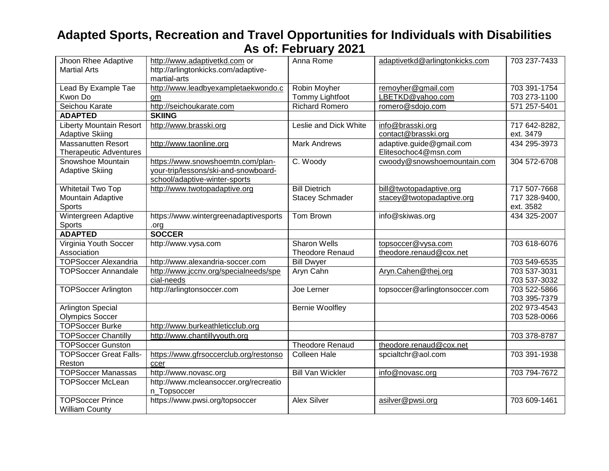| Jhoon Rhee Adaptive            | http://www.adaptivetkd.com or          | Anna Rome               | adaptivetkd@arlingtonkicks.com | 703 237-7433  |
|--------------------------------|----------------------------------------|-------------------------|--------------------------------|---------------|
| <b>Martial Arts</b>            | http://arlingtonkicks.com/adaptive-    |                         |                                |               |
|                                | martial-arts                           |                         |                                |               |
| Lead By Example Tae            | http://www.leadbyexampletaekwondo.c    | Robin Moyher            | remoyher@gmail.com             | 703 391-1754  |
| Kwon Do                        | om                                     | <b>Tommy Lightfoot</b>  | LBETKD@yahoo.com               | 703 273-1100  |
| Seichou Karate                 | http://seichoukarate.com               | <b>Richard Romero</b>   | romero@sdojo.com               | 571 257-5401  |
| <b>ADAPTED</b>                 | <b>SKIING</b>                          |                         |                                |               |
| <b>Liberty Mountain Resort</b> | http://www.brasski.org                 | Leslie and Dick White   | info@brasski.org               | 717 642-8282, |
| <b>Adaptive Skiing</b>         |                                        |                         | contact@brasski.org            | ext. 3479     |
| Massanutten Resort             | http://www.taonline.org                | <b>Mark Andrews</b>     | adaptive.guide@gmail.com       | 434 295-3973  |
| <b>Therapeutic Adventures</b>  |                                        |                         | Elitesochoc4@msn.com           |               |
| Snowshoe Mountain              | https://www.snowshoemtn.com/plan-      | C. Woody                | cwoody@snowshoemountain.com    | 304 572-6708  |
| <b>Adaptive Skiing</b>         | your-trip/lessons/ski-and-snowboard-   |                         |                                |               |
|                                | school/adaptive-winter-sports          |                         |                                |               |
| <b>Whitetail Two Top</b>       | http://www.twotopadaptive.org          | <b>Bill Dietrich</b>    | bill@twotopadaptive.org        | 717 507-7668  |
| Mountain Adaptive              |                                        | <b>Stacey Schmader</b>  | stacey@twotopadaptive.org      | 717 328-9400, |
| Sports                         |                                        |                         |                                | ext. 3582     |
| Wintergreen Adaptive           | https://www.wintergreenadaptivesports  | Tom Brown               | info@skiwas.org                | 434 325-2007  |
| Sports                         | .org                                   |                         |                                |               |
| <b>ADAPTED</b>                 | <b>SOCCER</b>                          |                         |                                |               |
| Virginia Youth Soccer          | http://www.vysa.com                    | <b>Sharon Wells</b>     | topsoccer@vysa.com             | 703 618-6076  |
| Association                    |                                        | <b>Theodore Renaud</b>  | theodore.renaud@cox.net        |               |
| <b>TOPSoccer Alexandria</b>    | http://www.alexandria-soccer.com       | <b>Bill Dwyer</b>       |                                | 703 549-6535  |
| <b>TOPSoccer Annandale</b>     | http://www.jccnv.org/specialneeds/spe  | Aryn Cahn               | Aryn.Cahen@thej.org            | 703 537-3031  |
|                                | cial-needs                             |                         |                                | 703 537-3032  |
| <b>TOPSoccer Arlington</b>     | http://arlingtonsoccer.com             | Joe Lerner              | topsoccer@arlingtonsoccer.com  | 703 522-5866  |
|                                |                                        |                         |                                | 703 395-7379  |
| <b>Arlington Special</b>       |                                        | <b>Bernie Woolfley</b>  |                                | 202 973-4543  |
| <b>Olympics Soccer</b>         |                                        |                         |                                | 703 528-0066  |
| <b>TOPSoccer Burke</b>         | http://www.burkeathleticclub.org       |                         |                                |               |
| <b>TOPSoccer Chantilly</b>     | http://www.chantillyyouth.org          |                         |                                | 703 378-8787  |
| <b>TOPSoccer Gunston</b>       |                                        | <b>Theodore Renaud</b>  | theodore.renaud@cox.net        |               |
| <b>TOPSoccer Great Falls-</b>  | https://www.gfrsoccerclub.org/restonso | <b>Colleen Hale</b>     | spcialtchr@aol.com             | 703 391-1938  |
| Reston                         | ccer                                   |                         |                                |               |
| <b>TOPSoccer Manassas</b>      | http://www.novasc.org                  | <b>Bill Van Wickler</b> | info@novasc.org                | 703 794-7672  |
| <b>TOPSoccer McLean</b>        | http://www.mcleansoccer.org/recreatio  |                         |                                |               |
|                                | n Topsoccer                            |                         |                                |               |
| <b>TOPSoccer Prince</b>        | https://www.pwsi.org/topsoccer         | <b>Alex Silver</b>      | asilver@pwsi.org               | 703 609-1461  |
| <b>William County</b>          |                                        |                         |                                |               |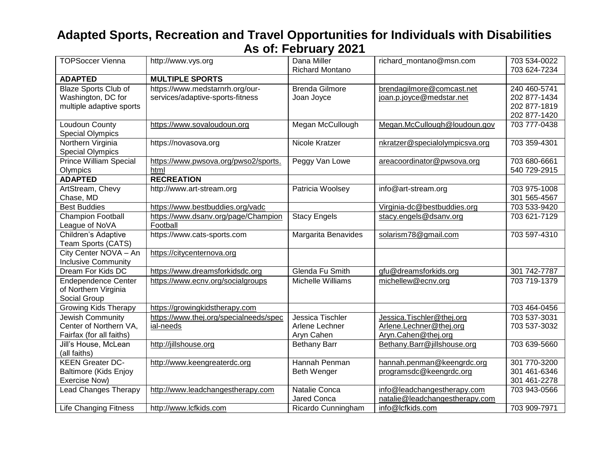| <b>TOPSoccer Vienna</b>                                                       | http://www.vys.org                                                  | Dana Miller<br><b>Richard Montano</b>            | richard_montano@msn.com                                                      | 703 534-0022<br>703 624-7234                                 |
|-------------------------------------------------------------------------------|---------------------------------------------------------------------|--------------------------------------------------|------------------------------------------------------------------------------|--------------------------------------------------------------|
| <b>ADAPTED</b>                                                                | <b>MULTIPLE SPORTS</b>                                              |                                                  |                                                                              |                                                              |
| <b>Blaze Sports Club of</b><br>Washington, DC for<br>multiple adaptive sports | https://www.medstarnrh.org/our-<br>services/adaptive-sports-fitness | <b>Brenda Gilmore</b><br>Joan Joyce              | brendagilmore@comcast.net<br>joan.p.joyce@medstar.net                        | 240 460-5741<br>202 877-1434<br>202 877-1819<br>202 877-1420 |
| Loudoun County<br><b>Special Olympics</b>                                     | https://www.sovaloudoun.org                                         | Megan McCullough                                 | Megan.McCullough@loudoun.gov                                                 | 703 777-0438                                                 |
| Northern Virginia<br><b>Special Olympics</b>                                  | https://novasova.org                                                | Nicole Kratzer                                   | nkratzer@specialolympicsva.org                                               | 703 359-4301                                                 |
| <b>Prince William Special</b><br>Olympics                                     | https://www.pwsova.org/pwso2/sports.<br>html                        | Peggy Van Lowe                                   | areacoordinator@pwsova.org                                                   | 703 680-6661<br>540 729-2915                                 |
| <b>ADAPTED</b>                                                                | <b>RECREATION</b>                                                   |                                                  |                                                                              |                                                              |
| ArtStream, Chevy<br>Chase, MD                                                 | http://www.art-stream.org                                           | Patricia Woolsey                                 | info@art-stream.org                                                          | 703 975-1008<br>301 565-4567                                 |
| <b>Best Buddies</b>                                                           | https://www.bestbuddies.org/vadc                                    |                                                  | Virginia-dc@bestbuddies.org                                                  | 703 533-9420                                                 |
| Champion Football<br>League of NoVA                                           | https://www.dsanv.org/page/Champion<br>Football                     | <b>Stacy Engels</b>                              | stacy.engels@dsanv.org                                                       | 703 621-7129                                                 |
| Children's Adaptive<br>Team Sports (CATS)                                     | https://www.cats-sports.com                                         | Margarita Benavides                              | solarism78@gmail.com                                                         | 703 597-4310                                                 |
| City Center NOVA - An<br><b>Inclusive Community</b>                           | https://citycenternova.org                                          |                                                  |                                                                              |                                                              |
| Dream For Kids DC                                                             | https://www.dreamsforkidsdc.org                                     | Glenda Fu Smith                                  | gfu@dreamsforkids.org                                                        | 301 742-7787                                                 |
| <b>Endependence Center</b><br>of Northern Virginia<br>Social Group            | https://www.ecnv.org/socialgroups                                   | Michelle Williams                                | michellew@ecnv.org                                                           | 703 719-1379                                                 |
| <b>Growing Kids Therapy</b>                                                   | https://growingkidstherapy.com                                      |                                                  |                                                                              | 703 464-0456                                                 |
| Jewish Community<br>Center of Northern VA,<br>Fairfax (for all faiths)        | https://www.thej.org/specialneeds/spec<br>ial-needs                 | Jessica Tischler<br>Arlene Lechner<br>Aryn Cahen | Jessica. Tischler@thej.org<br>Arlene.Lechner@thej.org<br>Aryn.Cahen@thej.org | 703 537-3031<br>703 537-3032                                 |
| Jill's House, McLean<br>(all faiths)                                          | http://jillshouse.org                                               | <b>Bethany Barr</b>                              | Bethany.Barr@jillshouse.org                                                  | 703 639-5660                                                 |
| <b>KEEN Greater DC-</b><br><b>Baltimore (Kids Enjoy</b><br>Exercise Now)      | http://www.keengreaterdc.org                                        | Hannah Penman<br>Beth Wenger                     | hannah.penman@keengrdc.org<br>programsdc@keengrdc.org                        | 301 770-3200<br>301 461-6346<br>301 461-2278                 |
| <b>Lead Changes Therapy</b>                                                   | http://www.leadchangestherapy.com                                   | Natalie Conca<br>Jared Conca                     | info@leadchangestherapy.com<br>natalie@leadchangestherapy.com                | 703 943-0566                                                 |
| <b>Life Changing Fitness</b>                                                  | http://www.lcfkids.com                                              | Ricardo Cunningham                               | info@lcfkids.com                                                             | 703 909-7971                                                 |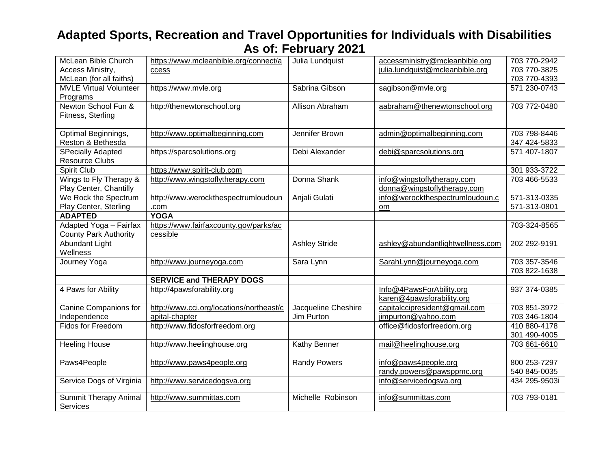| McLean Bible Church           | https://www.mcleanbible.org/connect/a    | Julia Lundquist      | accessministry@mcleanbible.org   | 703 770-2942  |
|-------------------------------|------------------------------------------|----------------------|----------------------------------|---------------|
| Access Ministry,              | ccess                                    |                      | julia.lundquist@mcleanbible.org  | 703 770-3825  |
| McLean (for all faiths)       |                                          |                      |                                  | 703 770-4393  |
| <b>MVLE Virtual Volunteer</b> | https://www.mvle.org                     | Sabrina Gibson       | sagibson@mvle.org                | 571 230-0743  |
| Programs                      |                                          |                      |                                  |               |
| Newton School Fun &           | http://thenewtonschool.org               | Allison Abraham      | aabraham@thenewtonschool.org     | 703 772-0480  |
| Fitness, Sterling             |                                          |                      |                                  |               |
|                               |                                          |                      |                                  |               |
| Optimal Beginnings,           | http://www.optimalbeginning.com          | Jennifer Brown       | admin@optimalbeginning.com       | 703 798-8446  |
| Reston & Bethesda             |                                          |                      |                                  | 347 424-5833  |
| <b>SPecially Adapted</b>      | https://sparcsolutions.org               | Debi Alexander       | debi@sparcsolutions.org          | 571 407-1807  |
| <b>Resource Clubs</b>         |                                          |                      |                                  |               |
| Spirit Club                   | https://www.spirit-club.com              |                      |                                  | 301 933-3722  |
| Wings to Fly Therapy &        | http://www.wingstoflytherapy.com         | Donna Shank          | info@wingstoflytherapy.com       | 703 466-5533  |
| Play Center, Chantilly        |                                          |                      | donna@wingstoflytherapy.com      |               |
| We Rock the Spectrum          | http://www.werockthespectrumloudoun      | Anjali Gulati        | info@werockthespectrumloudoun.c  | 571-313-0335  |
| Play Center, Sterling         | .com                                     |                      | om                               | 571-313-0801  |
| <b>ADAPTED</b>                | <b>YOGA</b>                              |                      |                                  |               |
| Adapted Yoga - Fairfax        | https://www.fairfaxcounty.gov/parks/ac   |                      |                                  | 703-324-8565  |
| <b>County Park Authority</b>  | cessible                                 |                      |                                  |               |
| <b>Abundant Light</b>         |                                          | <b>Ashley Stride</b> | ashley@abundantlightwellness.com | 202 292-9191  |
| Wellness                      |                                          |                      |                                  |               |
| Journey Yoga                  | http://www.journeyoga.com                | Sara Lynn            | SarahLynn@journeyoga.com         | 703 357-3546  |
|                               |                                          |                      |                                  | 703 822-1638  |
|                               | <b>SERVICE and THERAPY DOGS</b>          |                      |                                  |               |
| 4 Paws for Ability            | http://4pawsforability.org               |                      | Info@4PawsForAbility.org         | 937 374-0385  |
|                               |                                          |                      | karen@4pawsforability.org        |               |
| Canine Companions for         | http://www.cci.org/locations/northeast/c | Jacqueline Cheshire  | capitalccipresident@gmail.com    | 703 851-3972  |
| Independence                  | apital-chapter                           | Jim Purton           | jimpurton@yahoo.com              | 703 346-1804  |
| Fidos for Freedom             | http://www.fidosforfreedom.org           |                      | office@fidosforfreedom.org       | 410 880-4178  |
|                               |                                          |                      |                                  | 301 490-4005  |
| <b>Heeling House</b>          | http://www.heelinghouse.org              | Kathy Benner         | mail@heelinghouse.org            | 703 661-6610  |
|                               |                                          |                      |                                  |               |
| Paws4People                   | http://www.paws4people.org               | <b>Randy Powers</b>  | info@paws4people.org             | 800 253-7297  |
|                               |                                          |                      | randy.powers@pawsppmc.org        | 540 845-0035  |
| Service Dogs of Virginia      | http://www.servicedogsva.org             |                      | info@servicedogsva.org           | 434 295-9503i |
|                               |                                          |                      |                                  |               |
| <b>Summit Therapy Animal</b>  | http://www.summittas.com                 | Michelle Robinson    | info@summittas.com               | 703 793-0181  |
| Services                      |                                          |                      |                                  |               |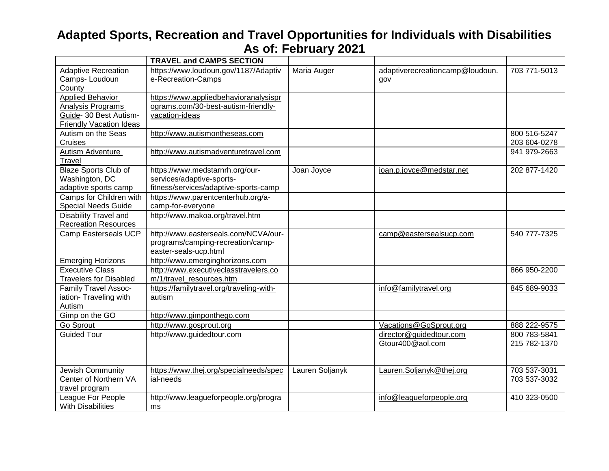|                                | <b>TRAVEL and CAMPS SECTION</b>          |                 |                                 |              |
|--------------------------------|------------------------------------------|-----------------|---------------------------------|--------------|
| <b>Adaptive Recreation</b>     | https://www.loudoun.gov/1187/Adaptiv     | Maria Auger     | adaptiverecreationcamp@loudoun. | 703 771-5013 |
| Camps-Loudoun                  | e-Recreation-Camps                       |                 | gov                             |              |
| County                         |                                          |                 |                                 |              |
| <b>Applied Behavior</b>        | https://www.appliedbehavioranalysispr    |                 |                                 |              |
| Analysis Programs              | ograms.com/30-best-autism-friendly-      |                 |                                 |              |
| Guide- 30 Best Autism-         | vacation-ideas                           |                 |                                 |              |
| <b>Friendly Vacation Ideas</b> |                                          |                 |                                 |              |
| Autism on the Seas             | http://www.autismontheseas.com           |                 |                                 | 800 516-5247 |
| Cruises                        |                                          |                 |                                 | 203 604-0278 |
| Autism Adventure               | http://www.autismadventuretravel.com     |                 |                                 | 941 979-2663 |
| Travel                         |                                          |                 |                                 |              |
| Blaze Sports Club of           | https://www.medstarnrh.org/our-          | Joan Joyce      | joan.p.joyce@medstar.net        | 202 877-1420 |
| Washington, DC                 | services/adaptive-sports-                |                 |                                 |              |
| adaptive sports camp           | fitness/services/adaptive-sports-camp    |                 |                                 |              |
| Camps for Children with        | https://www.parentcenterhub.org/a-       |                 |                                 |              |
| <b>Special Needs Guide</b>     | camp-for-everyone                        |                 |                                 |              |
| Disability Travel and          | http://www.makoa.org/travel.htm          |                 |                                 |              |
| <b>Recreation Resources</b>    |                                          |                 |                                 |              |
| Camp Easterseals UCP           | http://www.easterseals.com/NCVA/our-     |                 | camp@eastersealsucp.com         | 540 777-7325 |
|                                | programs/camping-recreation/camp-        |                 |                                 |              |
|                                | easter-seals-ucp.html                    |                 |                                 |              |
| <b>Emerging Horizons</b>       | http://www.emerginghorizons.com          |                 |                                 |              |
| <b>Executive Class</b>         | http://www.executiveclasstravelers.co    |                 |                                 | 866 950-2200 |
| <b>Travelers for Disabled</b>  | m/1/travel_resources.htm                 |                 |                                 |              |
| <b>Family Travel Assoc-</b>    | https://familytravel.org/traveling-with- |                 | info@familytravel.org           | 845 689-9033 |
| iation- Traveling with         | autism                                   |                 |                                 |              |
| Autism                         |                                          |                 |                                 |              |
| Gimp on the GO                 | http://www.gimponthego.com               |                 |                                 |              |
| Go Sprout                      | http://www.gosprout.org                  |                 | Vacations@GoSprout.org          | 888 222-9575 |
| <b>Guided Tour</b>             | http://www.guidedtour.com                |                 | director@guidedtour.com         | 800 783-5841 |
|                                |                                          |                 | Gtour400@aol.com                | 215 782-1370 |
|                                |                                          |                 |                                 |              |
|                                |                                          |                 |                                 |              |
| Jewish Community               | https://www.thej.org/specialneeds/spec   | Lauren Soljanyk | Lauren.Soljanyk@thej.org        | 703 537-3031 |
| Center of Northern VA          | ial-needs                                |                 |                                 | 703 537-3032 |
| travel program                 |                                          |                 |                                 |              |
| League For People              | http://www.leagueforpeople.org/progra    |                 | info@leagueforpeople.org        | 410 323-0500 |
| <b>With Disabilities</b>       | ms                                       |                 |                                 |              |